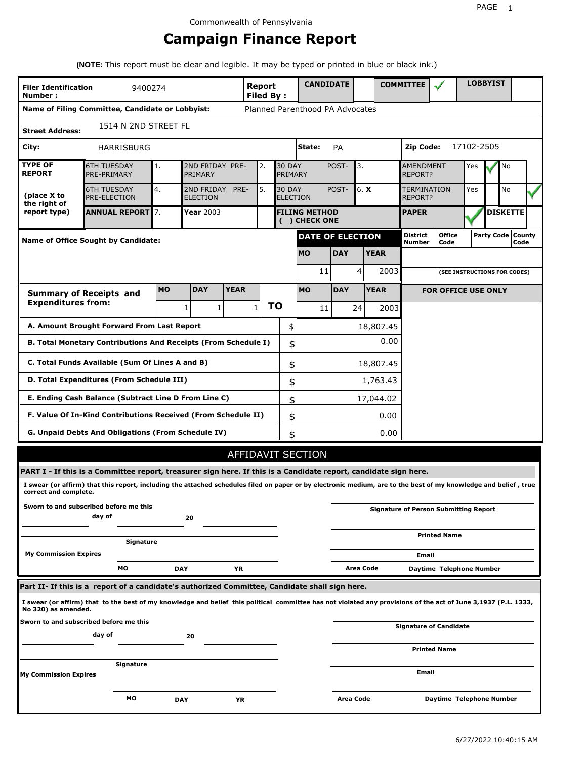# **Campaign Finance Report**

**(NOTE:** This report must be clear and legible. It may be typed or printed in blue or black ink.)

| <b>Filer Identification</b><br>Number:         | 9400274                                                                                                                                                         |           |                                    |                                                                  | Report<br>Filed By: |           |                                  | <b>CANDIDATE</b>                      |                      |           |             | <b>COMMITTEE</b>                     |                                              |            | <b>LOBBYIST</b>              |      |  |
|------------------------------------------------|-----------------------------------------------------------------------------------------------------------------------------------------------------------------|-----------|------------------------------------|------------------------------------------------------------------|---------------------|-----------|----------------------------------|---------------------------------------|----------------------|-----------|-------------|--------------------------------------|----------------------------------------------|------------|------------------------------|------|--|
|                                                | Name of Filing Committee, Candidate or Lobbyist:                                                                                                                |           |                                    |                                                                  |                     |           |                                  | Planned Parenthood PA Advocates       |                      |           |             |                                      |                                              |            |                              |      |  |
| 1514 N 2ND STREET FL<br><b>Street Address:</b> |                                                                                                                                                                 |           |                                    |                                                                  |                     |           |                                  |                                       |                      |           |             |                                      |                                              |            |                              |      |  |
| City:                                          | HARRISBURG                                                                                                                                                      |           |                                    |                                                                  |                     |           |                                  | State:                                | <b>PA</b>            |           |             | Zip Code:                            |                                              | 17102-2505 |                              |      |  |
| <b>TYPE OF</b><br><b>REPORT</b>                | <b>6TH TUESDAY</b><br>PRE-PRIMARY                                                                                                                               | 1.        | PRIMARY                            | 2ND FRIDAY PRE-<br><b>30 DAY</b><br>POST-<br>3.<br>2.<br>PRIMARY |                     |           |                                  |                                       | AMENDMENT<br>REPORT? |           | Yes         | No                                   |                                              |            |                              |      |  |
| (place X to<br>the right of                    | <b>6TH TUESDAY</b><br><b>PRE-ELECTION</b>                                                                                                                       | 4.        | 2ND FRIDAY PRE-<br><b>ELECTION</b> |                                                                  | 5.                  |           | <b>30 DAY</b><br><b>ELECTION</b> |                                       | POST-                | 6. X      |             | <b>TERMINATION</b><br><b>REPORT?</b> |                                              | Yes        | No                           |      |  |
| report type)                                   | <b>ANNUAL REPORT 7.</b>                                                                                                                                         |           | Year 2003                          |                                                                  |                     |           |                                  | <b>FILING METHOD</b><br>( ) CHECK ONE |                      |           |             | <b>PAPER</b>                         |                                              |            | <b>DISKETTE</b>              |      |  |
|                                                | Name of Office Sought by Candidate:                                                                                                                             |           |                                    |                                                                  |                     |           |                                  | <b>DATE OF ELECTION</b>               |                      |           |             | <b>District</b><br>Number            | <b>Office</b><br>Code                        |            | Party Code   County          | Code |  |
| <b>MO</b><br><b>DAY</b><br><b>YEAR</b>         |                                                                                                                                                                 |           |                                    |                                                                  |                     |           |                                  |                                       |                      |           |             |                                      |                                              |            |                              |      |  |
|                                                |                                                                                                                                                                 |           |                                    |                                                                  |                     |           |                                  | 11                                    |                      | 4         | 2003        |                                      |                                              |            | (SEE INSTRUCTIONS FOR CODES) |      |  |
|                                                | <b>Summary of Receipts and</b>                                                                                                                                  | <b>MO</b> | <b>DAY</b>                         | <b>YEAR</b>                                                      |                     |           |                                  | <b>MO</b>                             | <b>DAY</b>           |           | <b>YEAR</b> |                                      | <b>FOR OFFICE USE ONLY</b>                   |            |                              |      |  |
| <b>Expenditures from:</b>                      |                                                                                                                                                                 |           | $\mathbf{1}$<br>1                  |                                                                  | $\mathbf{1}$        | <b>TO</b> |                                  | 11                                    |                      | 24        | 2003        |                                      |                                              |            |                              |      |  |
|                                                | A. Amount Brought Forward From Last Report                                                                                                                      |           |                                    |                                                                  |                     |           | \$                               |                                       |                      |           | 18,807.45   |                                      |                                              |            |                              |      |  |
|                                                | B. Total Monetary Contributions And Receipts (From Schedule I)                                                                                                  |           |                                    |                                                                  |                     |           | \$                               |                                       |                      |           | 0.00        |                                      |                                              |            |                              |      |  |
|                                                | C. Total Funds Available (Sum Of Lines A and B)                                                                                                                 |           |                                    |                                                                  |                     |           | \$                               |                                       |                      |           | 18,807.45   |                                      |                                              |            |                              |      |  |
|                                                | D. Total Expenditures (From Schedule III)                                                                                                                       |           |                                    |                                                                  |                     |           | \$                               |                                       |                      |           | 1,763.43    |                                      |                                              |            |                              |      |  |
|                                                | E. Ending Cash Balance (Subtract Line D From Line C)                                                                                                            |           |                                    |                                                                  |                     |           | \$                               |                                       |                      |           | 17,044.02   |                                      |                                              |            |                              |      |  |
|                                                | F. Value Of In-Kind Contributions Received (From Schedule II)                                                                                                   |           |                                    |                                                                  |                     |           | \$                               |                                       |                      |           | 0.00        |                                      |                                              |            |                              |      |  |
|                                                | G. Unpaid Debts And Obligations (From Schedule IV)                                                                                                              |           |                                    |                                                                  |                     |           | \$                               |                                       |                      |           | 0.00        |                                      |                                              |            |                              |      |  |
|                                                |                                                                                                                                                                 |           |                                    |                                                                  |                     |           |                                  | AFFIDAVIT SECTION                     |                      |           |             |                                      |                                              |            |                              |      |  |
|                                                | PART I - If this is a Committee report, treasurer sign here. If this is a Candidate report, candidate sign here.                                                |           |                                    |                                                                  |                     |           |                                  |                                       |                      |           |             |                                      |                                              |            |                              |      |  |
| correct and complete.                          | I swear (or affirm) that this report, including the attached schedules filed on paper or by electronic medium, are to the best of my knowledge and belief, true |           |                                    |                                                                  |                     |           |                                  |                                       |                      |           |             |                                      |                                              |            |                              |      |  |
|                                                | Sworn to and subscribed before me this<br>day of                                                                                                                |           | 20                                 |                                                                  |                     |           |                                  |                                       |                      |           |             |                                      | <b>Signature of Person Submitting Report</b> |            |                              |      |  |
|                                                | Signature                                                                                                                                                       |           |                                    |                                                                  |                     |           |                                  |                                       |                      |           |             |                                      | <b>Printed Name</b>                          |            |                              |      |  |
| <b>My Commission Expires</b>                   |                                                                                                                                                                 |           |                                    |                                                                  |                     |           |                                  |                                       |                      |           |             | Email                                |                                              |            |                              |      |  |
|                                                | МO                                                                                                                                                              |           | DAY                                | YR                                                               |                     |           |                                  |                                       |                      | Area Code |             |                                      | Daytime Telephone Number                     |            |                              |      |  |
|                                                | Part II- If this is a report of a candidate's authorized Committee, Candidate shall sign here.                                                                  |           |                                    |                                                                  |                     |           |                                  |                                       |                      |           |             |                                      |                                              |            |                              |      |  |
| No 320) as amended.                            | I swear (or affirm) that to the best of my knowledge and belief this political committee has not violated any provisions of the act of June 3,1937 (P.L. 1333,  |           |                                    |                                                                  |                     |           |                                  |                                       |                      |           |             |                                      |                                              |            |                              |      |  |
|                                                | Sworn to and subscribed before me this                                                                                                                          |           |                                    |                                                                  |                     |           |                                  |                                       |                      |           |             |                                      | <b>Signature of Candidate</b>                |            |                              |      |  |
|                                                | day of                                                                                                                                                          |           | 20                                 |                                                                  |                     |           |                                  |                                       |                      |           |             |                                      |                                              |            |                              |      |  |
|                                                | Signature                                                                                                                                                       |           |                                    |                                                                  |                     |           |                                  |                                       |                      |           |             |                                      | <b>Printed Name</b>                          |            |                              |      |  |
| My Commission Expires                          |                                                                                                                                                                 |           |                                    |                                                                  |                     |           |                                  |                                       |                      |           |             | Email                                |                                              |            |                              |      |  |
|                                                | МO                                                                                                                                                              |           | DAY                                | ΥR                                                               |                     |           |                                  |                                       | Area Code            |           |             |                                      | Daytime Telephone Number                     |            |                              |      |  |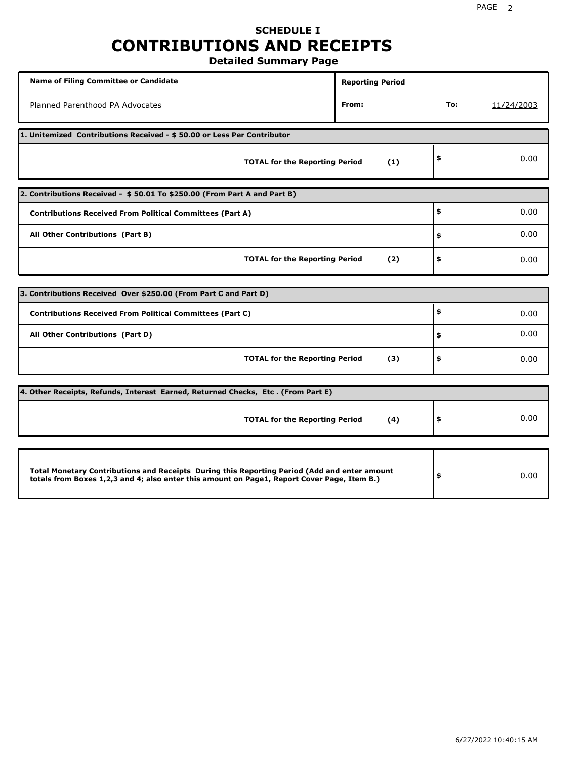# **SCHEDULE I CONTRIBUTIONS AND RECEIPTS**

**Detailed Summary Page**

| <b>Name of Filing Committee or Candidate</b>                                                                                                                                                | <b>Reporting Period</b> |     |            |  |  |  |  |  |  |
|---------------------------------------------------------------------------------------------------------------------------------------------------------------------------------------------|-------------------------|-----|------------|--|--|--|--|--|--|
| Planned Parenthood PA Advocates                                                                                                                                                             | From:                   | To: | 11/24/2003 |  |  |  |  |  |  |
| 1. Unitemized Contributions Received - \$50.00 or Less Per Contributor                                                                                                                      |                         |     |            |  |  |  |  |  |  |
| <b>TOTAL for the Reporting Period</b>                                                                                                                                                       | (1)                     | \$  | 0.00       |  |  |  |  |  |  |
| 2. Contributions Received - \$50.01 To \$250.00 (From Part A and Part B)                                                                                                                    |                         |     |            |  |  |  |  |  |  |
| <b>Contributions Received From Political Committees (Part A)</b>                                                                                                                            |                         | \$  | 0.00       |  |  |  |  |  |  |
| All Other Contributions (Part B)                                                                                                                                                            |                         | \$  | 0.00       |  |  |  |  |  |  |
| <b>TOTAL for the Reporting Period</b>                                                                                                                                                       | (2)                     | \$  | 0.00       |  |  |  |  |  |  |
|                                                                                                                                                                                             |                         |     |            |  |  |  |  |  |  |
| 3. Contributions Received Over \$250.00 (From Part C and Part D)                                                                                                                            |                         | \$  |            |  |  |  |  |  |  |
| <b>Contributions Received From Political Committees (Part C)</b>                                                                                                                            |                         |     | 0.00       |  |  |  |  |  |  |
| All Other Contributions (Part D)                                                                                                                                                            |                         | \$  | 0.00       |  |  |  |  |  |  |
| <b>TOTAL for the Reporting Period</b>                                                                                                                                                       | (3)                     | \$  | 0.00       |  |  |  |  |  |  |
| 4. Other Receipts, Refunds, Interest Earned, Returned Checks, Etc. (From Part E)                                                                                                            |                         |     |            |  |  |  |  |  |  |
| <b>TOTAL for the Reporting Period</b>                                                                                                                                                       | (4)                     | \$  | 0.00       |  |  |  |  |  |  |
|                                                                                                                                                                                             |                         |     |            |  |  |  |  |  |  |
| Total Monetary Contributions and Receipts During this Reporting Period (Add and enter amount<br>totals from Boxes 1,2,3 and 4; also enter this amount on Page1, Report Cover Page, Item B.) |                         | \$  | 0.00       |  |  |  |  |  |  |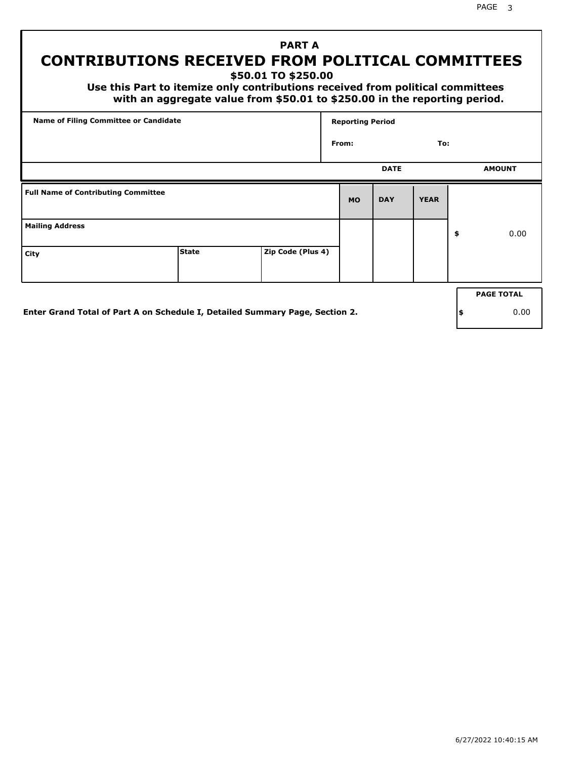PAGE 3

# **PART A CONTRIBUTIONS RECEIVED FROM POLITICAL COMMITTEES**

**\$50.01 TO \$250.00**

 **Use this Part to itemize only contributions received from political committees with an aggregate value from \$50.01 to \$250.00 in the reporting period.**

| Name of Filing Committee or Candidate      |                                                                              |                   |           | <b>Reporting Period</b> |             |     |                   |
|--------------------------------------------|------------------------------------------------------------------------------|-------------------|-----------|-------------------------|-------------|-----|-------------------|
|                                            |                                                                              |                   | From:     |                         | To:         |     |                   |
|                                            |                                                                              |                   |           | <b>DATE</b>             |             |     | <b>AMOUNT</b>     |
| <b>Full Name of Contributing Committee</b> |                                                                              |                   | <b>MO</b> | <b>DAY</b>              | <b>YEAR</b> |     |                   |
| <b>Mailing Address</b>                     |                                                                              |                   |           |                         |             | \$  | 0.00              |
| City                                       | <b>State</b>                                                                 | Zip Code (Plus 4) |           |                         |             |     |                   |
|                                            |                                                                              |                   |           |                         |             |     | <b>PAGE TOTAL</b> |
|                                            | Enter Grand Total of Part A on Schedule I, Detailed Summary Page, Section 2. |                   |           |                         |             | ∣\$ | 0.00              |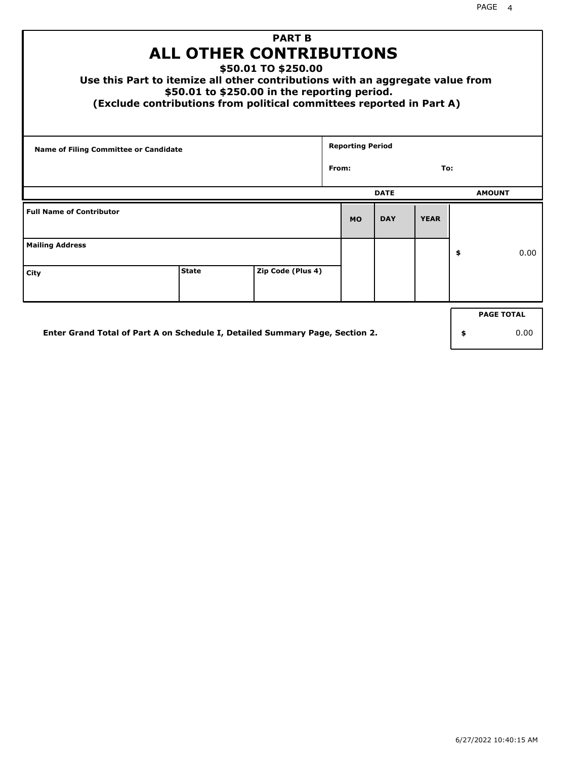| Use this Part to itemize all other contributions with an aggregate value from<br>(Exclude contributions from political committees reported in Part A) | <b>ALL OTHER CONTRIBUTIONS</b><br>\$50.01 to \$250.00 in the reporting period. | <b>PART B</b><br>\$50.01 TO \$250.00 |       |                         |             |             |    |               |  |
|-------------------------------------------------------------------------------------------------------------------------------------------------------|--------------------------------------------------------------------------------|--------------------------------------|-------|-------------------------|-------------|-------------|----|---------------|--|
| <b>Name of Filing Committee or Candidate</b>                                                                                                          |                                                                                |                                      | From: | <b>Reporting Period</b> |             | To:         |    |               |  |
|                                                                                                                                                       |                                                                                |                                      |       |                         |             |             |    |               |  |
|                                                                                                                                                       |                                                                                |                                      |       |                         | <b>DATE</b> |             |    | <b>AMOUNT</b> |  |
| <b>Full Name of Contributor</b>                                                                                                                       |                                                                                |                                      |       | <b>MO</b>               | <b>DAY</b>  | <b>YEAR</b> |    |               |  |
| <b>Mailing Address</b>                                                                                                                                |                                                                                |                                      |       |                         |             |             | \$ | 0.00          |  |
| City                                                                                                                                                  | <b>State</b>                                                                   | Zip Code (Plus 4)                    |       |                         |             |             |    |               |  |
| <b>PAGE TOTAL</b>                                                                                                                                     |                                                                                |                                      |       |                         |             |             |    |               |  |
| Enter Grand Total of Part A on Schedule I, Detailed Summary Page, Section 2.                                                                          |                                                                                |                                      |       |                         |             |             | \$ | 0.00          |  |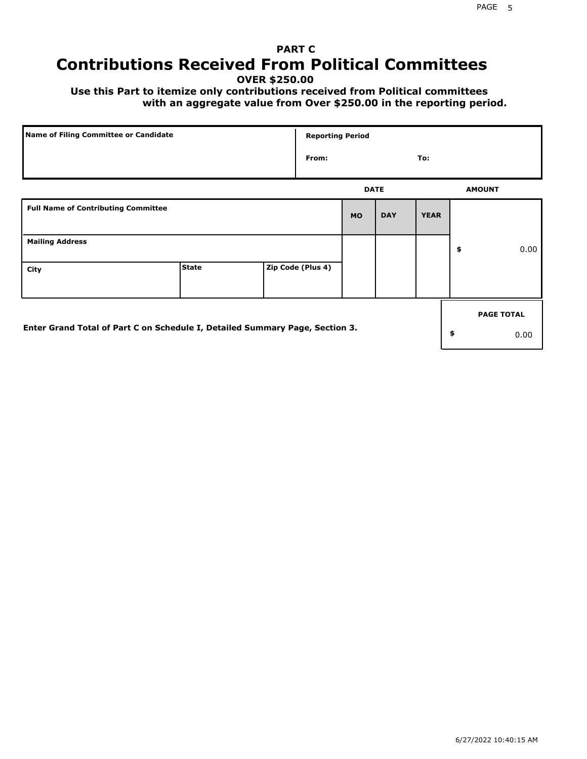# **PART C Contributions Received From Political Committees**

**OVER \$250.00**

 **Use this Part to itemize only contributions received from Political committees with an aggregate value from Over \$250.00 in the reporting period.**

| Name of Filing Committee or Candidate                                        |              |  | <b>Reporting Period</b> |           |             |             |    |                   |  |
|------------------------------------------------------------------------------|--------------|--|-------------------------|-----------|-------------|-------------|----|-------------------|--|
|                                                                              |              |  | From:                   |           |             | To:         |    |                   |  |
|                                                                              |              |  |                         |           | <b>DATE</b> |             |    | <b>AMOUNT</b>     |  |
| <b>Full Name of Contributing Committee</b>                                   |              |  |                         | <b>MO</b> | <b>DAY</b>  | <b>YEAR</b> |    |                   |  |
| <b>Mailing Address</b>                                                       |              |  |                         |           |             |             | \$ | 0.00              |  |
| City                                                                         | <b>State</b> |  | Zip Code (Plus 4)       |           |             |             |    |                   |  |
|                                                                              |              |  |                         |           |             |             |    | <b>PAGE TOTAL</b> |  |
| Enter Grand Total of Part C on Schedule I, Detailed Summary Page, Section 3. |              |  |                         |           |             |             | \$ | 0.00              |  |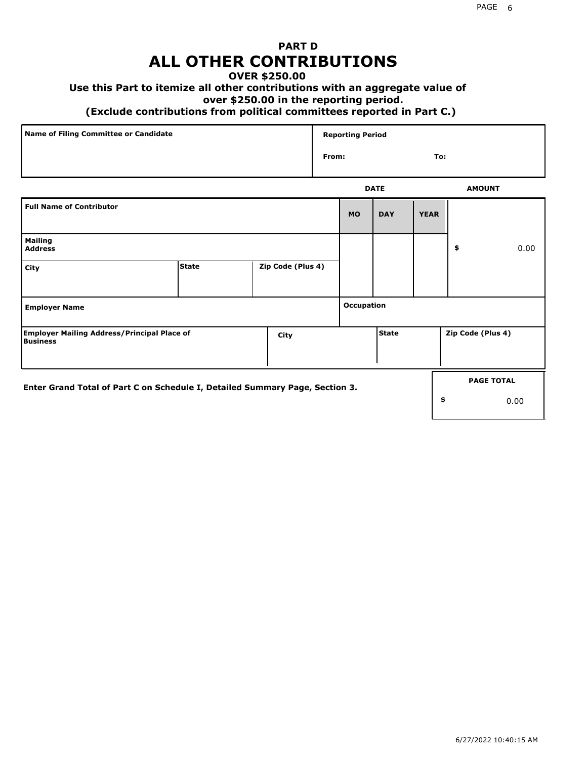## **PART D ALL OTHER CONTRIBUTIONS**

### **OVER \$250.00**

## **Use this Part to itemize all other contributions with an aggregate value of**

#### **over \$250.00 in the reporting period.**

#### **(Exclude contributions from political committees reported in Part C.)**

| Name of Filing Committee or Candidate | <b>Reporting Period</b> |               |
|---------------------------------------|-------------------------|---------------|
|                                       | From:                   | To:           |
|                                       | <b>DATE</b>             | <b>AMOUNT</b> |

| <b>Full Name of Contributor</b>                                              |              |                   | <b>MO</b>  | <b>DAY</b>   | <b>YEAR</b> |                   |                           |
|------------------------------------------------------------------------------|--------------|-------------------|------------|--------------|-------------|-------------------|---------------------------|
| <b>Mailing</b><br><b>Address</b>                                             |              |                   |            |              |             | \$                | 0.00                      |
| City                                                                         | <b>State</b> | Zip Code (Plus 4) |            |              |             |                   |                           |
| <b>Employer Name</b>                                                         |              |                   | Occupation |              |             |                   |                           |
| <b>Employer Mailing Address/Principal Place of</b><br><b>Business</b>        |              | City              |            | <b>State</b> |             | Zip Code (Plus 4) |                           |
| Enter Grand Total of Part C on Schedule I, Detailed Summary Page, Section 3. |              |                   |            |              | \$          |                   | <b>PAGE TOTAL</b><br>0.00 |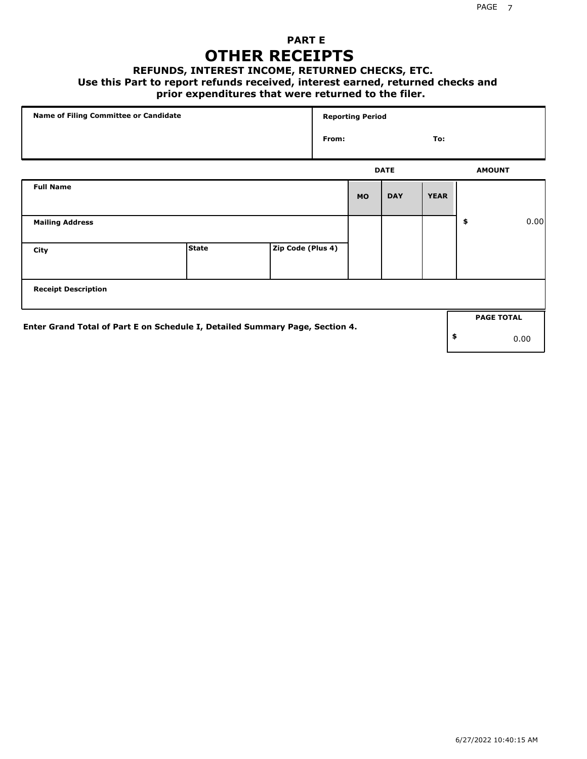## **PART E OTHER RECEIPTS**

#### **REFUNDS, INTEREST INCOME, RETURNED CHECKS, ETC.**

 **Use this Part to report refunds received, interest earned, returned checks and**

## **prior expenditures that were returned to the filer.**

| Name of Filing Committee or Candidate                                        |              |                   |       | <b>Reporting Period</b> |             |             |                   |      |
|------------------------------------------------------------------------------|--------------|-------------------|-------|-------------------------|-------------|-------------|-------------------|------|
|                                                                              |              |                   | From: |                         |             | To:         |                   |      |
|                                                                              |              |                   |       |                         | <b>DATE</b> |             | <b>AMOUNT</b>     |      |
| <b>Full Name</b>                                                             |              |                   |       | <b>MO</b>               | <b>DAY</b>  | <b>YEAR</b> |                   |      |
| <b>Mailing Address</b>                                                       |              |                   |       |                         |             |             | \$                | 0.00 |
| City                                                                         | <b>State</b> | Zip Code (Plus 4) |       |                         |             |             |                   |      |
| <b>Receipt Description</b>                                                   |              |                   |       |                         |             |             |                   |      |
|                                                                              |              |                   |       |                         |             |             | <b>PAGE TOTAL</b> |      |
| Enter Grand Total of Part E on Schedule I, Detailed Summary Page, Section 4. |              |                   |       |                         |             |             | \$                | 0.00 |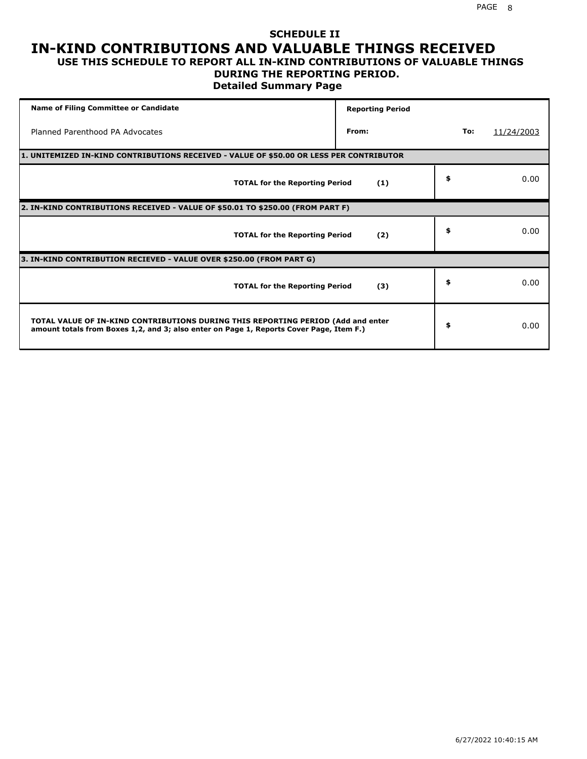### **SCHEDULE II IN-KIND CONTRIBUTIONS AND VALUABLE THINGS RECEIVED USE THIS SCHEDULE TO REPORT ALL IN-KIND CONTRIBUTIONS OF VALUABLE THINGS**

#### **DURING THE REPORTING PERIOD.**

**Detailed Summary Page**

| <b>Name of Filing Committee or Candidate</b>                                                                                                                                | <b>Reporting Period</b> |     |            |
|-----------------------------------------------------------------------------------------------------------------------------------------------------------------------------|-------------------------|-----|------------|
| Planned Parenthood PA Advocates                                                                                                                                             | From:                   | To: | 11/24/2003 |
| 1. UNITEMIZED IN-KIND CONTRIBUTIONS RECEIVED - VALUE OF \$50.00 OR LESS PER CONTRIBUTOR                                                                                     |                         |     |            |
| <b>TOTAL for the Reporting Period</b>                                                                                                                                       | (1)                     | \$  | 0.00       |
| 2. IN-KIND CONTRIBUTIONS RECEIVED - VALUE OF \$50.01 TO \$250.00 (FROM PART F)                                                                                              |                         |     |            |
| <b>TOTAL for the Reporting Period</b>                                                                                                                                       | (2)                     | \$  | 0.00       |
| 3. IN-KIND CONTRIBUTION RECIEVED - VALUE OVER \$250.00 (FROM PART G)                                                                                                        |                         |     |            |
| <b>TOTAL for the Reporting Period</b>                                                                                                                                       | (3)                     | \$  | 0.00       |
| TOTAL VALUE OF IN-KIND CONTRIBUTIONS DURING THIS REPORTING PERIOD (Add and enter<br>amount totals from Boxes 1,2, and 3; also enter on Page 1, Reports Cover Page, Item F.) |                         | \$  | 0.00       |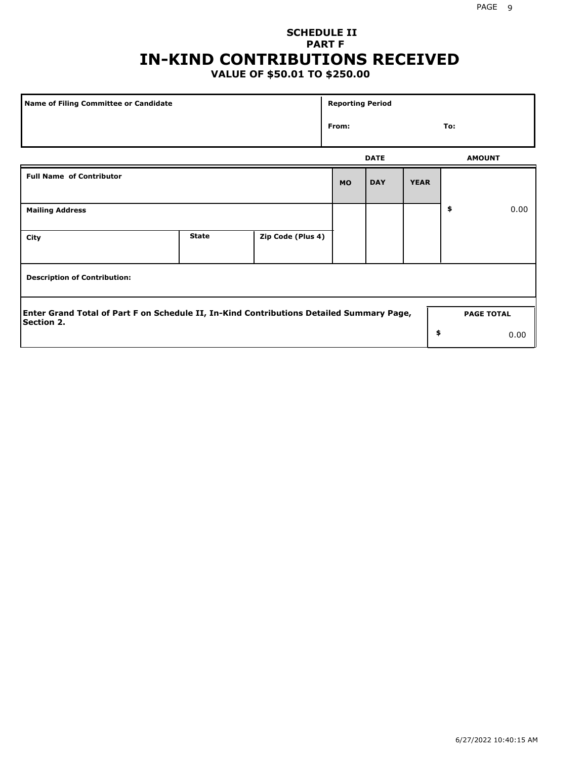# **SCHEDULE II PART F IN-KIND CONTRIBUTIONS RECEIVED**

## **VALUE OF \$50.01 TO \$250.00**

| Name of Filing Committee or Candidate                                                                         |              |                   |           | <b>Reporting Period</b> |             |                   |      |  |
|---------------------------------------------------------------------------------------------------------------|--------------|-------------------|-----------|-------------------------|-------------|-------------------|------|--|
|                                                                                                               | From:        |                   |           | To:                     |             |                   |      |  |
|                                                                                                               |              |                   |           | <b>DATE</b>             |             | <b>AMOUNT</b>     |      |  |
| <b>Full Name of Contributor</b>                                                                               |              |                   | <b>MO</b> | <b>DAY</b>              | <b>YEAR</b> |                   |      |  |
| <b>Mailing Address</b>                                                                                        |              |                   |           |                         |             | \$                | 0.00 |  |
| City                                                                                                          | <b>State</b> | Zip Code (Plus 4) |           |                         |             |                   |      |  |
| <b>Description of Contribution:</b>                                                                           |              |                   |           |                         |             |                   |      |  |
| Enter Grand Total of Part F on Schedule II, In-Kind Contributions Detailed Summary Page,<br><b>Section 2.</b> |              |                   |           |                         |             | <b>PAGE TOTAL</b> |      |  |
|                                                                                                               |              |                   |           |                         | \$          |                   | 0.00 |  |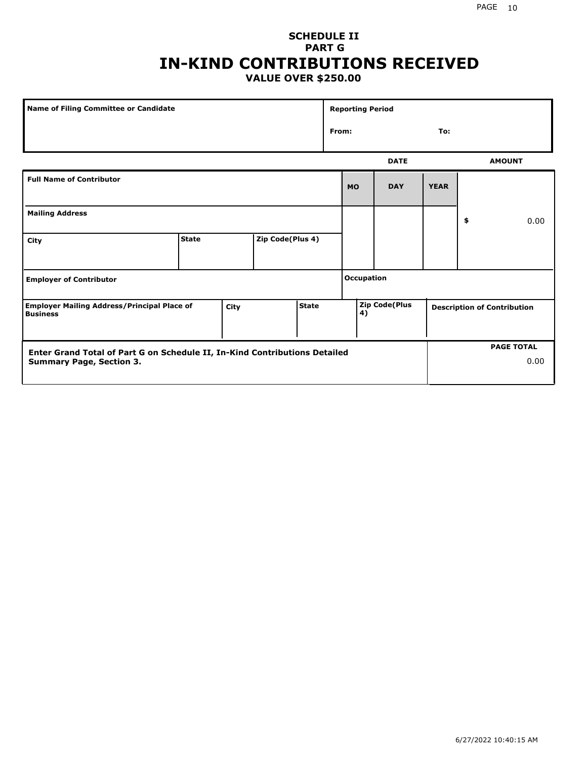### **SCHEDULE II PART G IN-KIND CONTRIBUTIONS RECEIVED VALUE OVER \$250.00**

| Name of Filing Committee or Candidate                                                  |              |  |                  |    | <b>Reporting Period</b> |             |             |                                    |               |
|----------------------------------------------------------------------------------------|--------------|--|------------------|----|-------------------------|-------------|-------------|------------------------------------|---------------|
|                                                                                        |              |  |                  |    | From:<br>To:            |             |             |                                    |               |
|                                                                                        |              |  |                  |    |                         | <b>DATE</b> |             |                                    | <b>AMOUNT</b> |
| <b>Full Name of Contributor</b>                                                        |              |  |                  |    | <b>MO</b>               | <b>DAY</b>  | <b>YEAR</b> |                                    |               |
| <b>Mailing Address</b>                                                                 |              |  |                  |    |                         |             |             | \$                                 | 0.00          |
| City                                                                                   | <b>State</b> |  | Zip Code(Plus 4) |    |                         |             |             |                                    |               |
| <b>Employer of Contributor</b>                                                         |              |  |                  |    | <b>Occupation</b>       |             |             |                                    |               |
| State<br><b>Employer Mailing Address/Principal Place of</b><br>City<br><b>Business</b> |              |  |                  | 4) | <b>Zip Code(Plus</b>    |             |             | <b>Description of Contribution</b> |               |

| <b>Enter Grand Total of Part G on Schedule II, In-Kind Contributions Detailed</b> |  | <b>PAGE TOTAL</b> |
|-----------------------------------------------------------------------------------|--|-------------------|
| <b>Summary Page, Section 3.</b>                                                   |  | 0.00              |
|                                                                                   |  |                   |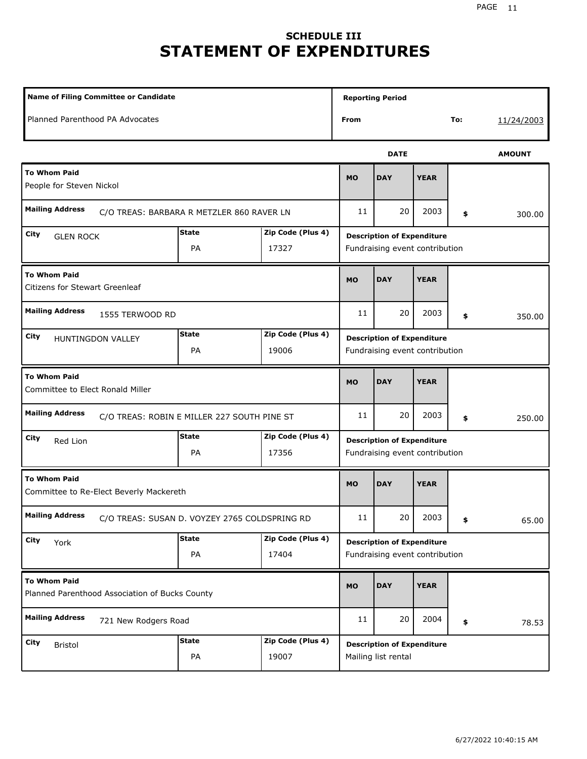# **SCHEDULE III STATEMENT OF EXPENDITURES**

| Name of Filing Committee or Candidate                                   |                    |                            | <b>Reporting Period</b>                                             |             |             |     |               |
|-------------------------------------------------------------------------|--------------------|----------------------------|---------------------------------------------------------------------|-------------|-------------|-----|---------------|
| Planned Parenthood PA Advocates                                         |                    |                            | From                                                                |             |             | To: | 11/24/2003    |
|                                                                         |                    |                            |                                                                     | <b>DATE</b> |             |     | <b>AMOUNT</b> |
| <b>To Whom Paid</b><br>People for Steven Nickol                         |                    |                            | <b>MO</b>                                                           | <b>DAY</b>  | <b>YEAR</b> |     |               |
| <b>Mailing Address</b><br>C/O TREAS: BARBARA R METZLER 860 RAVER LN     |                    |                            | 11                                                                  | 20          | 2003        | \$  | 300.00        |
| City<br><b>GLEN ROCK</b>                                                | <b>State</b><br>PA | Zip Code (Plus 4)<br>17327 | <b>Description of Expenditure</b><br>Fundraising event contribution |             |             |     |               |
| <b>To Whom Paid</b><br>Citizens for Stewart Greenleaf                   |                    |                            | <b>MO</b>                                                           | <b>DAY</b>  | <b>YEAR</b> |     |               |
| <b>Mailing Address</b><br>1555 TERWOOD RD                               |                    |                            | 11                                                                  | 20          | 2003        | \$  | 350.00        |
| City<br>HUNTINGDON VALLEY                                               | <b>State</b><br>PA | Zip Code (Plus 4)<br>19006 | <b>Description of Expenditure</b><br>Fundraising event contribution |             |             |     |               |
| <b>To Whom Paid</b><br>Committee to Elect Ronald Miller                 |                    |                            | <b>MO</b>                                                           | <b>DAY</b>  | <b>YEAR</b> |     |               |
| <b>Mailing Address</b><br>C/O TREAS: ROBIN E MILLER 227 SOUTH PINE ST   |                    |                            | 11                                                                  | 20          | 2003        | \$  | 250.00        |
| City<br>Red Lion                                                        | <b>State</b><br>PA | Zip Code (Plus 4)<br>17356 | <b>Description of Expenditure</b><br>Fundraising event contribution |             |             |     |               |
| <b>To Whom Paid</b><br>Committee to Re-Elect Beverly Mackereth          |                    |                            | <b>MO</b>                                                           | <b>DAY</b>  | <b>YEAR</b> |     |               |
| <b>Mailing Address</b><br>C/O TREAS: SUSAN D. VOYZEY 2765 COLDSPRING RD |                    |                            | $11\,$                                                              | 20          | 2003        | \$  | 65.00         |
| City<br>York                                                            | <b>State</b><br>PA | Zip Code (Plus 4)<br>17404 | <b>Description of Expenditure</b><br>Fundraising event contribution |             |             |     |               |
| <b>To Whom Paid</b><br>Planned Parenthood Association of Bucks County   |                    |                            | MO                                                                  | <b>DAY</b>  | <b>YEAR</b> |     |               |
| <b>Mailing Address</b><br>721 New Rodgers Road                          |                    |                            | 11                                                                  | 20          | 2004        | \$  | 78.53         |
| City<br>Bristol                                                         | <b>State</b><br>PA | Zip Code (Plus 4)<br>19007 | <b>Description of Expenditure</b><br>Mailing list rental            |             |             |     |               |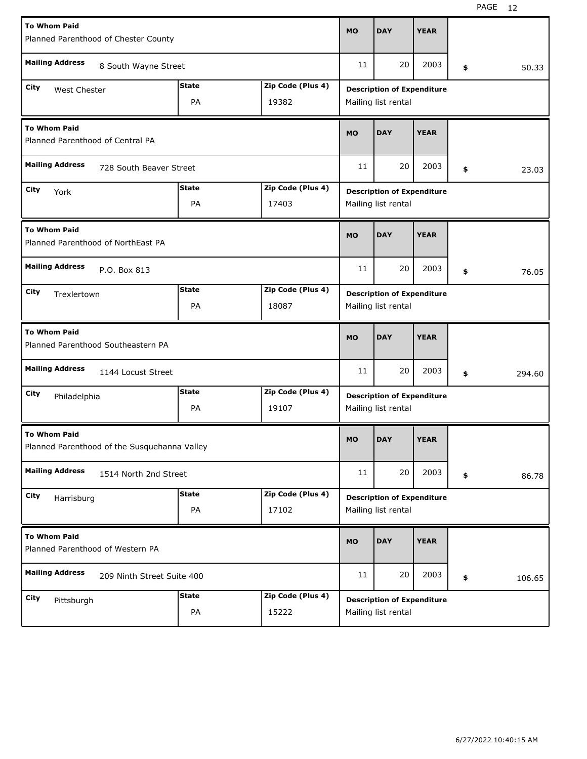| <b>To Whom Paid</b>                                                 |              |                   |                                   |                                   |             |     |        |  |  |
|---------------------------------------------------------------------|--------------|-------------------|-----------------------------------|-----------------------------------|-------------|-----|--------|--|--|
| Planned Parenthood of Chester County                                |              |                   | <b>MO</b>                         | <b>DAY</b>                        | <b>YEAR</b> |     |        |  |  |
| <b>Mailing Address</b><br>8 South Wayne Street                      |              |                   | 11                                | 20                                | 2003        | \$  | 50.33  |  |  |
| <b>State</b><br>City<br>West Chester                                |              | Zip Code (Plus 4) |                                   | <b>Description of Expenditure</b> |             |     |        |  |  |
| PA<br>19382                                                         |              |                   |                                   | Mailing list rental               |             |     |        |  |  |
| <b>To Whom Paid</b><br>Planned Parenthood of Central PA             |              |                   | <b>MO</b>                         | <b>DAY</b>                        | <b>YEAR</b> |     |        |  |  |
| <b>Mailing Address</b><br>728 South Beaver Street                   |              |                   | 11                                | 20                                | 2003        | \$  | 23.03  |  |  |
| City<br>York                                                        | <b>State</b> | Zip Code (Plus 4) | <b>Description of Expenditure</b> |                                   |             |     |        |  |  |
|                                                                     | PA           | 17403             |                                   | Mailing list rental               |             |     |        |  |  |
| <b>To Whom Paid</b><br>Planned Parenthood of NorthEast PA           |              |                   | <b>MO</b>                         | <b>DAY</b>                        | <b>YEAR</b> |     |        |  |  |
| <b>Mailing Address</b><br>P.O. Box 813                              |              |                   | 11                                | 20                                | 2003        | \$  | 76.05  |  |  |
| <b>State</b><br>Zip Code (Plus 4)<br>City<br>Trexlertown            |              |                   | <b>Description of Expenditure</b> |                                   |             |     |        |  |  |
| <b>PA</b><br>18087                                                  |              |                   |                                   | Mailing list rental               |             |     |        |  |  |
| <b>To Whom Paid</b><br>Planned Parenthood Southeastern PA           |              |                   |                                   |                                   |             |     |        |  |  |
|                                                                     |              |                   | <b>MO</b>                         | <b>DAY</b>                        | <b>YEAR</b> |     |        |  |  |
| <b>Mailing Address</b><br>1144 Locust Street                        |              |                   | 11                                | 20                                | 2003        | \$  | 294.60 |  |  |
| City                                                                | State        | Zip Code (Plus 4) |                                   | <b>Description of Expenditure</b> |             |     |        |  |  |
| Philadelphia                                                        | PA           | 19107             |                                   | Mailing list rental               |             |     |        |  |  |
| <b>To Whom Paid</b><br>Planned Parenthood of the Susquehanna Valley |              |                   | <b>MO</b>                         | <b>DAY</b>                        | <b>YEAR</b> |     |        |  |  |
| <b>Mailing Address</b><br>1514 North 2nd Street                     |              |                   | 11                                | 20                                | 2003        | \$. | 86.78  |  |  |
| City                                                                | <b>State</b> | Zip Code (Plus 4) |                                   | <b>Description of Expenditure</b> |             |     |        |  |  |
| Harrisburg                                                          | PA           | 17102             |                                   | Mailing list rental               |             |     |        |  |  |
| <b>To Whom Paid</b><br>Planned Parenthood of Western PA             |              |                   | <b>MO</b>                         | <b>DAY</b>                        | <b>YEAR</b> |     |        |  |  |
| <b>Mailing Address</b><br>209 Ninth Street Suite 400                |              |                   | 11                                | 20                                | 2003        | \$  | 106.65 |  |  |
| City<br>Pittsburgh                                                  | <b>State</b> | Zip Code (Plus 4) |                                   | <b>Description of Expenditure</b> |             |     |        |  |  |